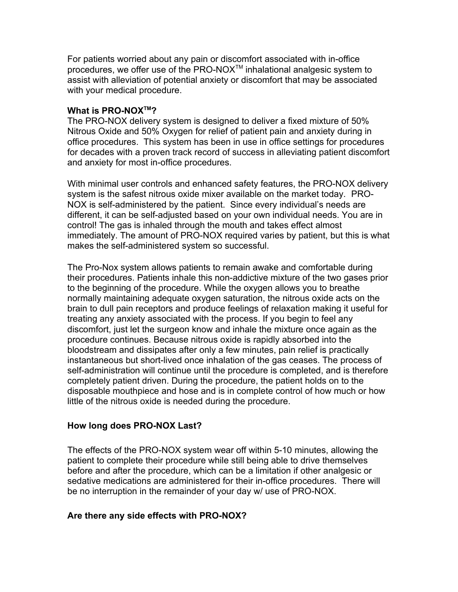For patients worried about any pain or discomfort associated with in-office procedures, we offer use of the PRO-NOX<sup>™</sup> inhalational analgesic system to assist with alleviation of potential anxiety or discomfort that may be associated with your medical procedure.

## **What is PRO-NOXTM?**

The PRO-NOX delivery system is designed to deliver a fixed mixture of 50% Nitrous Oxide and 50% Oxygen for relief of patient pain and anxiety during in office procedures. This system has been in use in office settings for procedures for decades with a proven track record of success in alleviating patient discomfort and anxiety for most in-office procedures.

With minimal user controls and enhanced safety features, the PRO-NOX delivery system is the safest nitrous oxide mixer available on the market today. PRO-NOX is self-administered by the patient. Since every individual's needs are different, it can be self-adjusted based on your own individual needs. You are in control! The gas is inhaled through the mouth and takes effect almost immediately. The amount of PRO-NOX required varies by patient, but this is what makes the self-administered system so successful.

The Pro-Nox system allows patients to remain awake and comfortable during their procedures. Patients inhale this non-addictive mixture of the two gases prior to the beginning of the procedure. While the oxygen allows you to breathe normally maintaining adequate oxygen saturation, the nitrous oxide acts on the brain to dull pain receptors and produce feelings of relaxation making it useful for treating any anxiety associated with the process. If you begin to feel any discomfort, just let the surgeon know and inhale the mixture once again as the procedure continues. Because nitrous oxide is rapidly absorbed into the bloodstream and dissipates after only a few minutes, pain relief is practically instantaneous but short-lived once inhalation of the gas ceases. The process of self-administration will continue until the procedure is completed, and is therefore completely patient driven. During the procedure, the patient holds on to the disposable mouthpiece and hose and is in complete control of how much or how little of the nitrous oxide is needed during the procedure.

## **How long does PRO-NOX Last?**

The effects of the PRO-NOX system wear off within 5-10 minutes, allowing the patient to complete their procedure while still being able to drive themselves before and after the procedure, which can be a limitation if other analgesic or sedative medications are administered for their in-office procedures. There will be no interruption in the remainder of your day w/ use of PRO-NOX.

## **Are there any side effects with PRO-NOX?**